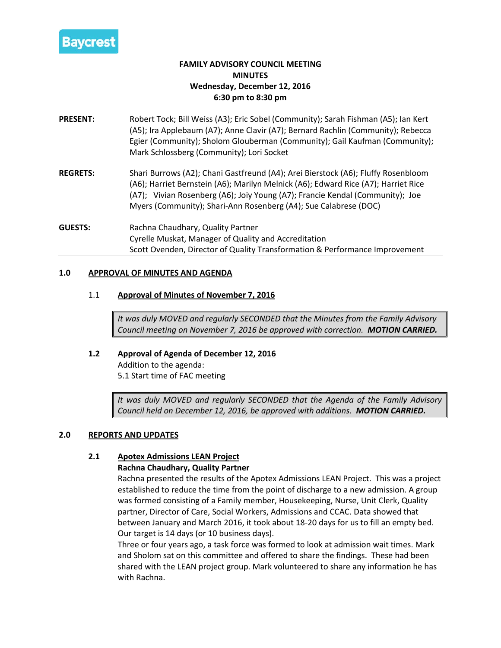

# **FAMILY ADVISORY COUNCIL MEETING MINUTES Wednesday, December 12, 2016 6:30 pm to 8:30 pm**

- **PRESENT:** Robert Tock; Bill Weiss (A3); Eric Sobel (Community); Sarah Fishman (A5); Ian Kert (A5); Ira Applebaum (A7); Anne Clavir (A7); Bernard Rachlin (Community); Rebecca Egier (Community); Sholom Glouberman (Community); Gail Kaufman (Community); Mark Schlossberg (Community); Lori Socket
- **REGRETS:** Shari Burrows (A2); Chani Gastfreund (A4); Arei Bierstock (A6); Fluffy Rosenbloom (A6); Harriet Bernstein (A6); Marilyn Melnick (A6); Edward Rice (A7); Harriet Rice (A7); Vivian Rosenberg (A6); Joiy Young (A7); Francie Kendal (Community); Joe Myers (Community); Shari-Ann Rosenberg (A4); Sue Calabrese (DOC)
- **GUESTS:** Rachna Chaudhary, Quality Partner Cyrelle Muskat, Manager of Quality and Accreditation Scott Ovenden, Director of Quality Transformation & Performance Improvement

## **1.0 APPROVAL OF MINUTES AND AGENDA**

## 1.1 **Approval of Minutes of November 7, 2016**

*It was duly MOVED and regularly SECONDED that the Minutes from the Family Advisory Council meeting on November 7, 2016 be approved with correction. MOTION CARRIED.*

## **1.2 Approval of Agenda of December 12, 2016**

Addition to the agenda: 5.1 Start time of FAC meeting

*It was duly MOVED and regularly SECONDED that the Agenda of the Family Advisory Council held on December 12, 2016, be approved with additions. MOTION CARRIED.*

## **2.0 REPORTS AND UPDATES**

## **2.1 Apotex Admissions LEAN Project**

#### **Rachna Chaudhary, Quality Partner**

Rachna presented the results of the Apotex Admissions LEAN Project. This was a project established to reduce the time from the point of discharge to a new admission. A group was formed consisting of a Family member, Housekeeping, Nurse, Unit Clerk, Quality partner, Director of Care, Social Workers, Admissions and CCAC. Data showed that between January and March 2016, it took about 18-20 days for us to fill an empty bed. Our target is 14 days (or 10 business days).

Three or four years ago, a task force was formed to look at admission wait times. Mark and Sholom sat on this committee and offered to share the findings. These had been shared with the LEAN project group. Mark volunteered to share any information he has with Rachna.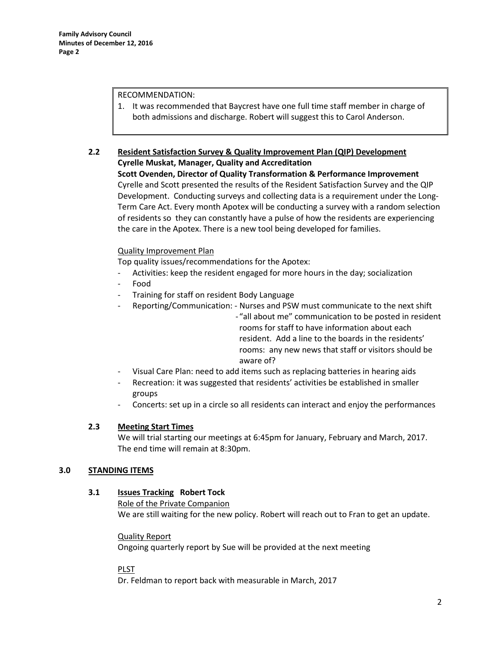#### RECOMMENDATION:

1. It was recommended that Baycrest have one full time staff member in charge of both admissions and discharge. Robert will suggest this to Carol Anderson.

#### **2.2 Resident Satisfaction Survey & Quality Improvement Plan (QIP) Development Cyrelle Muskat, Manager, Quality and Accreditation**

**Scott Ovenden, Director of Quality Transformation & Performance Improvement** Cyrelle and Scott presented the results of the Resident Satisfaction Survey and the QIP Development. Conducting surveys and collecting data is a requirement under the Long-Term Care Act. Every month Apotex will be conducting a survey with a random selection of residents so they can constantly have a pulse of how the residents are experiencing the care in the Apotex. There is a new tool being developed for families.

## Quality Improvement Plan

Top quality issues/recommendations for the Apotex:

- Activities: keep the resident engaged for more hours in the day; socialization
- Food
- Training for staff on resident Body Language
- Reporting/Communication: Nurses and PSW must communicate to the next shift
	- "all about me" communication to be posted in resident rooms for staff to have information about each resident. Add a line to the boards in the residents' rooms: any new news that staff or visitors should be aware of?
- Visual Care Plan: need to add items such as replacing batteries in hearing aids
- Recreation: it was suggested that residents' activities be established in smaller groups
- Concerts: set up in a circle so all residents can interact and enjoy the performances

## **2.3 Meeting Start Times**

We will trial starting our meetings at 6:45pm for January, February and March, 2017. The end time will remain at 8:30pm.

## **3.0 STANDING ITEMS**

## **3.1 Issues Tracking Robert Tock**

Role of the Private Companion We are still waiting for the new policy. Robert will reach out to Fran to get an update.

## Quality Report

Ongoing quarterly report by Sue will be provided at the next meeting

## PLST

Dr. Feldman to report back with measurable in March, 2017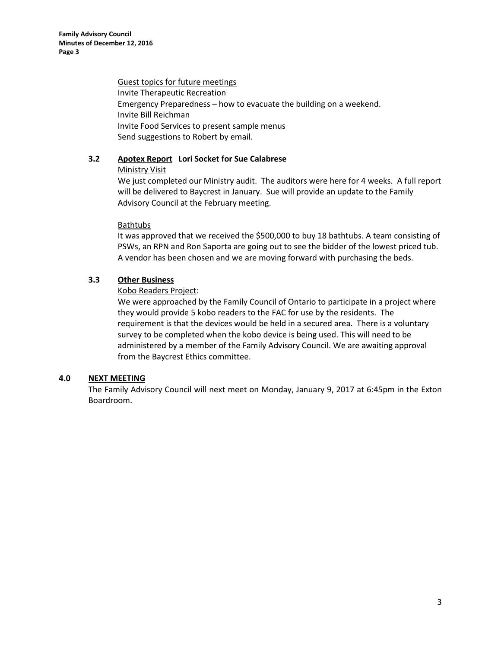Guest topics for future meetings Invite Therapeutic Recreation Emergency Preparedness – how to evacuate the building on a weekend. Invite Bill Reichman Invite Food Services to present sample menus Send suggestions to Robert by email.

# **3.2 Apotex Report Lori Socket for Sue Calabrese**

## Ministry Visit

We just completed our Ministry audit. The auditors were here for 4 weeks. A full report will be delivered to Baycrest in January. Sue will provide an update to the Family Advisory Council at the February meeting.

## **Bathtubs**

It was approved that we received the \$500,000 to buy 18 bathtubs. A team consisting of PSWs, an RPN and Ron Saporta are going out to see the bidder of the lowest priced tub. A vendor has been chosen and we are moving forward with purchasing the beds.

# **3.3 Other Business**

## Kobo Readers Project:

We were approached by the Family Council of Ontario to participate in a project where they would provide 5 kobo readers to the FAC for use by the residents. The requirement is that the devices would be held in a secured area. There is a voluntary survey to be completed when the kobo device is being used. This will need to be administered by a member of the Family Advisory Council. We are awaiting approval from the Baycrest Ethics committee.

# **4.0 NEXT MEETING**

The Family Advisory Council will next meet on Monday, January 9, 2017 at 6:45pm in the Exton Boardroom.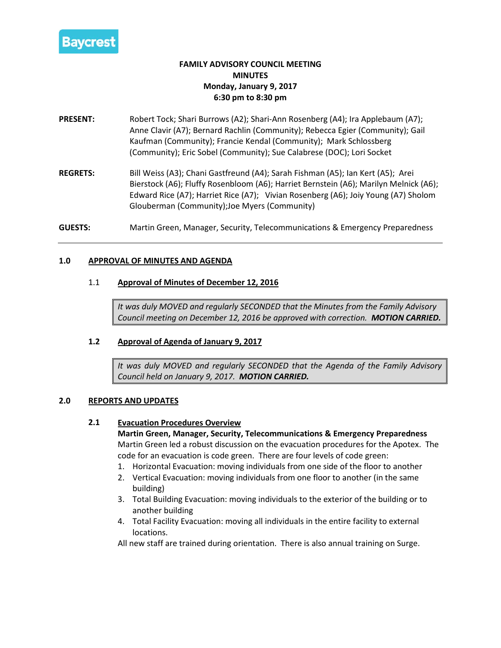

# **FAMILY ADVISORY COUNCIL MEETING MINUTES Monday, January 9, 2017 6:30 pm to 8:30 pm**

- **PRESENT:** Robert Tock; Shari Burrows (A2); Shari-Ann Rosenberg (A4); Ira Applebaum (A7); Anne Clavir (A7); Bernard Rachlin (Community); Rebecca Egier (Community); Gail Kaufman (Community); Francie Kendal (Community); Mark Schlossberg (Community); Eric Sobel (Community); Sue Calabrese (DOC); Lori Socket
- **REGRETS:** Bill Weiss (A3); Chani Gastfreund (A4); Sarah Fishman (A5); Ian Kert (A5); Arei Bierstock (A6); Fluffy Rosenbloom (A6); Harriet Bernstein (A6); Marilyn Melnick (A6); Edward Rice (A7); Harriet Rice (A7); Vivian Rosenberg (A6); Joiy Young (A7) Sholom Glouberman (Community);Joe Myers (Community)
- **GUESTS:** Martin Green, Manager, Security, Telecommunications & Emergency Preparedness

#### **1.0 APPROVAL OF MINUTES AND AGENDA**

#### 1.1 **Approval of Minutes of December 12, 2016**

*It was duly MOVED and regularly SECONDED that the Minutes from the Family Advisory Council meeting on December 12, 2016 be approved with correction. MOTION CARRIED.*

#### **1.2 Approval of Agenda of January 9, 2017**

*It was duly MOVED and regularly SECONDED that the Agenda of the Family Advisory Council held on January 9, 2017. MOTION CARRIED.*

#### **2.0 REPORTS AND UPDATES**

#### **2.1 Evacuation Procedures Overview**

**Martin Green, Manager, Security, Telecommunications & Emergency Preparedness** Martin Green led a robust discussion on the evacuation procedures for the Apotex. The code for an evacuation is code green. There are four levels of code green:

- 1. Horizontal Evacuation: moving individuals from one side of the floor to another
- 2. Vertical Evacuation: moving individuals from one floor to another (in the same building)
- 3. Total Building Evacuation: moving individuals to the exterior of the building or to another building
- 4. Total Facility Evacuation: moving all individuals in the entire facility to external locations.

All new staff are trained during orientation. There is also annual training on Surge.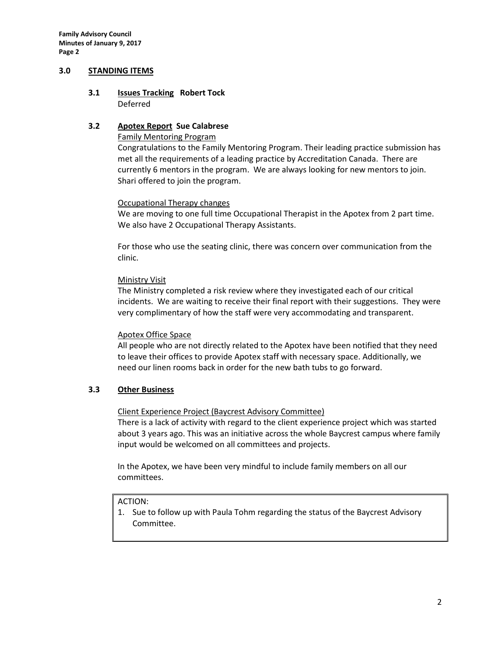**Family Advisory Council Minutes of January 9, 2017 Page 2**

#### **3.0 STANDING ITEMS**

# **3.1 Issues Tracking Robert Tock**

Deferred

## **3.2 Apotex Report Sue Calabrese**

## Family Mentoring Program

Congratulations to the Family Mentoring Program. Their leading practice submission has met all the requirements of a leading practice by Accreditation Canada. There are currently 6 mentors in the program. We are always looking for new mentors to join. Shari offered to join the program.

## Occupational Therapy changes

We are moving to one full time Occupational Therapist in the Apotex from 2 part time. We also have 2 Occupational Therapy Assistants.

For those who use the seating clinic, there was concern over communication from the clinic.

#### Ministry Visit

The Ministry completed a risk review where they investigated each of our critical incidents. We are waiting to receive their final report with their suggestions. They were very complimentary of how the staff were very accommodating and transparent.

## Apotex Office Space

All people who are not directly related to the Apotex have been notified that they need to leave their offices to provide Apotex staff with necessary space. Additionally, we need our linen rooms back in order for the new bath tubs to go forward.

## **3.3 Other Business**

#### Client Experience Project (Baycrest Advisory Committee)

There is a lack of activity with regard to the client experience project which was started about 3 years ago. This was an initiative across the whole Baycrest campus where family input would be welcomed on all committees and projects.

In the Apotex, we have been very mindful to include family members on all our committees.

#### ACTION:

1. Sue to follow up with Paula Tohm regarding the status of the Baycrest Advisory Committee.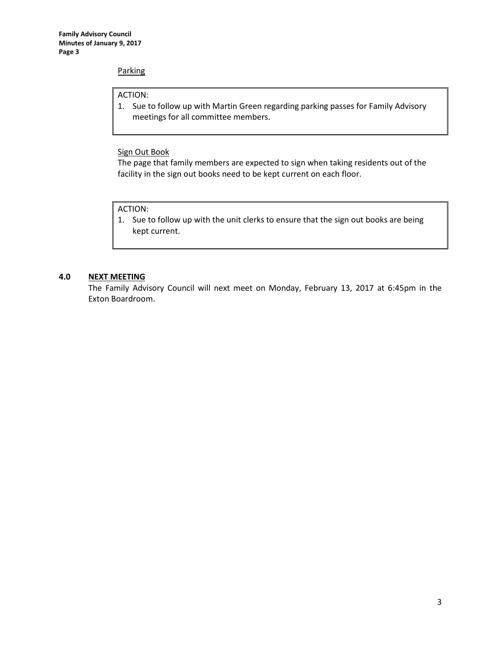#### **Parking**

#### ACTION:

1. Sue to follow up with Martin Green regarding parking passes for Family Advisory meetings for all committee members.

## Sign Out Book

The page that family members are expected to sign when taking residents out of the facility in the sign out books need to be kept current on each floor.

#### ACTION:

1. Sue to follow up with the unit clerks to ensure that the sign out books are being kept current.

#### **4.0 NEXT MEETING**

The Family Advisory Council will next meet on Monday, February 13, 2017 at 6:45pm in the Exton Boardroom.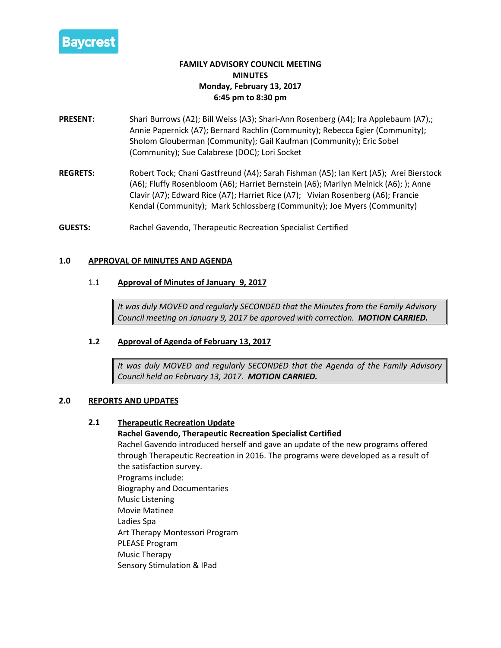

# **FAMILY ADVISORY COUNCIL MEETING MINUTES Monday, February 13, 2017 6:45 pm to 8:30 pm**

- **PRESENT:** Shari Burrows (A2); Bill Weiss (A3); Shari-Ann Rosenberg (A4); Ira Applebaum (A7),; Annie Papernick (A7); Bernard Rachlin (Community); Rebecca Egier (Community); Sholom Glouberman (Community); Gail Kaufman (Community); Eric Sobel (Community); Sue Calabrese (DOC); Lori Socket
- **REGRETS:** Robert Tock; Chani Gastfreund (A4); Sarah Fishman (A5); Ian Kert (A5); Arei Bierstock (A6); Fluffy Rosenbloom (A6); Harriet Bernstein (A6); Marilyn Melnick (A6); ); Anne Clavir (A7); Edward Rice (A7); Harriet Rice (A7); Vivian Rosenberg (A6); Francie Kendal (Community); Mark Schlossberg (Community); Joe Myers (Community)

**GUESTS:** Rachel Gavendo, Therapeutic Recreation Specialist Certified

## **1.0 APPROVAL OF MINUTES AND AGENDA**

## 1.1 **Approval of Minutes of January 9, 2017**

*It was duly MOVED and regularly SECONDED that the Minutes from the Family Advisory Council meeting on January 9, 2017 be approved with correction. MOTION CARRIED.*

## **1.2 Approval of Agenda of February 13, 2017**

*It was duly MOVED and regularly SECONDED that the Agenda of the Family Advisory Council held on February 13, 2017. MOTION CARRIED.*

## **2.0 REPORTS AND UPDATES**

## **2.1 Therapeutic Recreation Update**

## **Rachel Gavendo, Therapeutic Recreation Specialist Certified**

Rachel Gavendo introduced herself and gave an update of the new programs offered through Therapeutic Recreation in 2016. The programs were developed as a result of the satisfaction survey. Programs include: Biography and Documentaries

Music Listening Movie Matinee

Ladies Spa

Art Therapy Montessori Program

PLEASE Program

Music Therapy

Sensory Stimulation & IPad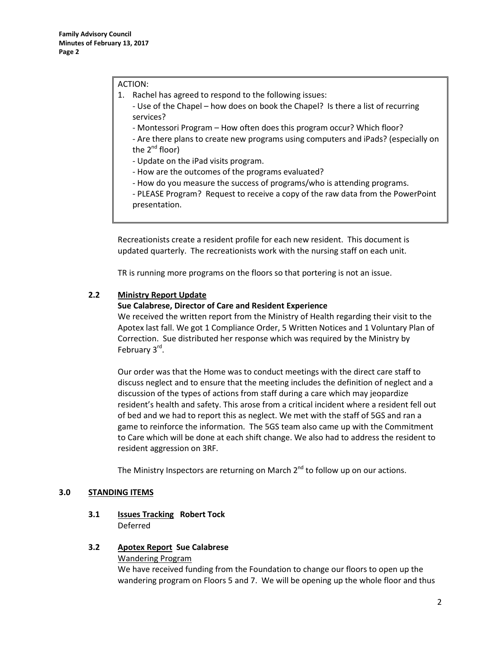#### ACTION:

- 1. Rachel has agreed to respond to the following issues:
	- Use of the Chapel how does on book the Chapel? Is there a list of recurring services?
	- Montessori Program How often does this program occur? Which floor?

- Are there plans to create new programs using computers and iPads? (especially on the  $2^{nd}$  floor)

- Update on the iPad visits program.
- How are the outcomes of the programs evaluated?
- How do you measure the success of programs/who is attending programs.

- PLEASE Program? Request to receive a copy of the raw data from the PowerPoint presentation.

Recreationists create a resident profile for each new resident. This document is updated quarterly. The recreationists work with the nursing staff on each unit.

TR is running more programs on the floors so that portering is not an issue.

#### **2.2 Ministry Report Update**

#### **Sue Calabrese, Director of Care and Resident Experience**

We received the written report from the Ministry of Health regarding their visit to the Apotex last fall. We got 1 Compliance Order, 5 Written Notices and 1 Voluntary Plan of Correction. Sue distributed her response which was required by the Ministry by February 3<sup>rd</sup>.

Our order was that the Home was to conduct meetings with the direct care staff to discuss neglect and to ensure that the meeting includes the definition of neglect and a discussion of the types of actions from staff during a care which may jeopardize resident's health and safety. This arose from a critical incident where a resident fell out of bed and we had to report this as neglect. We met with the staff of 5GS and ran a game to reinforce the information. The 5GS team also came up with the Commitment to Care which will be done at each shift change. We also had to address the resident to resident aggression on 3RF.

The Ministry Inspectors are returning on March  $2<sup>nd</sup>$  to follow up on our actions.

#### **3.0 STANDING ITEMS**

## **3.1 Issues Tracking Robert Tock** Deferred

#### **3.2 Apotex Report Sue Calabrese**

## Wandering Program

We have received funding from the Foundation to change our floors to open up the wandering program on Floors 5 and 7. We will be opening up the whole floor and thus